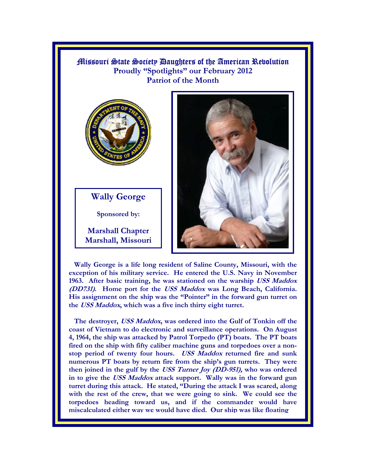Missouri State Society Daughters of the American Revolution **Proudly "Spotlights" our February 2012 Patriot of the Month**



**Wally George** 

**Sponsored by:** 

**Marshall Chapter Marshall, Missouri** 



 **Wally George is a life long resident of Saline County, Missouri, with the exception of his military service. He entered the U.S. Navy in November 1963. After basic training, he was stationed on the warship USS Maddox (DD731). Home port for the USS Maddox was Long Beach, California. His assignment on the ship was the "Pointer" in the forward gun turret on the USS Maddox, which was a five inch thirty eight turret.** 

 **The destroyer, USS Maddox, was ordered into the Gulf of Tonkin off the coast of Vietnam to do electronic and surveillance operations. On August 4, 1964, the ship was attacked by Patrol Torpedo (PT) boats. The PT boats fired on the ship with fifty caliber machine guns and torpedoes over a nonstop period of twenty four hours. USS Maddox returned fire and sunk numerous PT boats by return fire from the ship's gun turrets. They were then joined in the gulf by the USS Turner Joy (DD-951), who was ordered in to give the USS Maddox attack support. Wally was in the forward gun turret during this attack. He stated, "During the attack I was scared, along with the rest of the crew, that we were going to sink. We could see the torpedoes heading toward us, and if the commander would have miscalculated either way we would have died. Our ship was like floating**